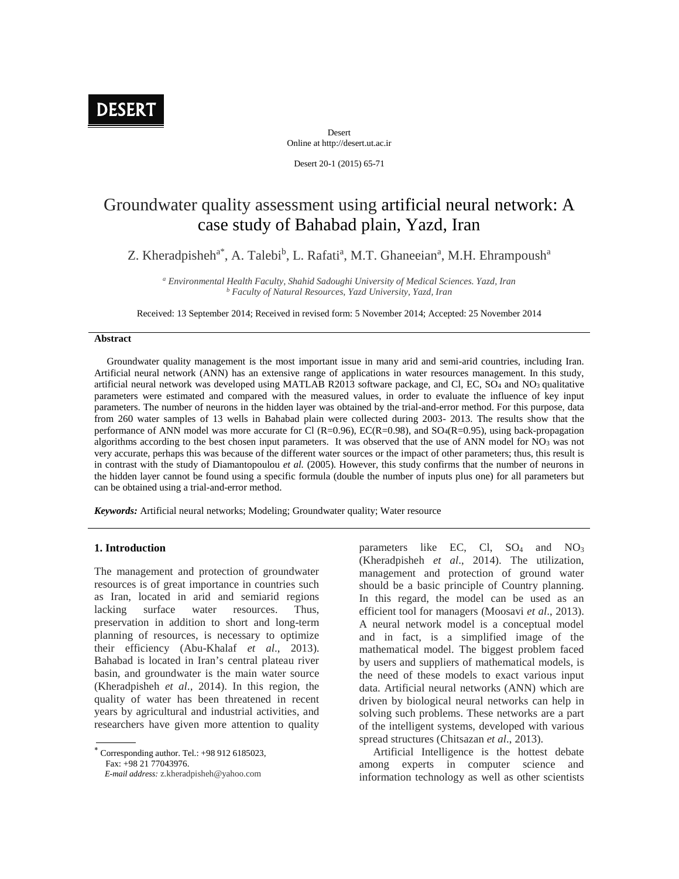

Desert Online at http://desert.ut.ac.ir

Desert 20-1 (2015) 65-71

# Groundwater quality assessment using artificial neural network: A case study of Bahabad plain, Yazd, Iran

Z. Kheradpisheh<sup>a\*</sup>, A. Talebi<sup>b</sup>, L. Rafati<sup>a</sup>, M.T. Ghaneeian<sup>a</sup>, M.H. Ehrampoush<sup>a</sup>

*<sup>a</sup> Environmental Health Faculty, Shahid Sadoughi University of Medical Sciences. Yazd, Iran <sup>b</sup> Faculty of Natural Resources, Yazd University, Yazd, Iran*

Received: 13 September 2014; Received in revised form: 5 November 2014; Accepted: 25 November 2014

## **Abstract**

Groundwater quality management is the most important issue in many arid and semi-arid countries, including Iran. Artificial neural network (ANN) has an extensive range of applications in water resources management. In this study, artificial neural network was developed using MATLAB R2013 software package, and Cl, EC, SO<sup>4</sup> and NO<sup>3</sup> qualitative parameters were estimated and compared with the measured values, in order to evaluate the influence of key input parameters. The number of neurons in the hidden layer was obtained by the trial-and-error method. For this purpose, data from 260 water samples of 13 wells in Bahabad plain were collected during 2003- 2013. The results show that the performance of ANN model was more accurate for Cl (R=0.96), EC(R=0.98), and SO4(R=0.95), using back-propagation algorithms according to the best chosen input parameters. It was observed that the use of ANN model for  $NO<sub>3</sub>$  was not very accurate, perhaps this was because of the different water sources or the impact of other parameters; thus, this result is in contrast with the study of Diamantopoulou *et al.* (2005). However, this study confirms that the number of neurons in the hidden layer cannot be found using a specific formula (double the number of inputs plus one) for all parameters but can be obtained using a trial-and-error method.

*Keywords:* Artificial neural networks; Modeling; Groundwater quality; Water resource

# **1. Introduction**

The management and protection of groundwater resources is of great importance in countries such as Iran, located in arid and semiarid regions lacking surface water resources. Thus, preservation in addition to short and long-term planning of resources, is necessary to optimize their efficiency (Abu-Khalaf *et al*., 2013). Bahabad is located in Iran's central plateau river basin, and groundwater is the main water source (Kheradpisheh *et al*., 2014). In this region, the quality of water has been threatened in recent years by agricultural and industrial activities, and researchers have given more attention to quality

 Corresponding author. Tel.: +98 912 6185023, Fax: +98 21 77043976.

*E-mail address:* z.kheradpisheh@yahoo.com

parameters like EC, Cl,  $SO_4$  and  $NO_3$ (Kheradpisheh *et al*., 2014). The utilization, management and protection of ground water should be a basic principle of Country planning. In this regard, the model can be used as an efficient tool for managers (Moosavi *et al*., 2013). A neural network model is a conceptual model and in fact, is a simplified image of the mathematical model. The biggest problem faced by users and suppliers of mathematical models, is the need of these models to exact various input data. Artificial neural networks (ANN) which are driven by biological neural networks can help in solving such problems. These networks are a part of the intelligent systems, developed with various spread structures (Chitsazan *et al*., 2013).

Artificial Intelligence is the hottest debate among experts in computer science and information technology as well as other scientists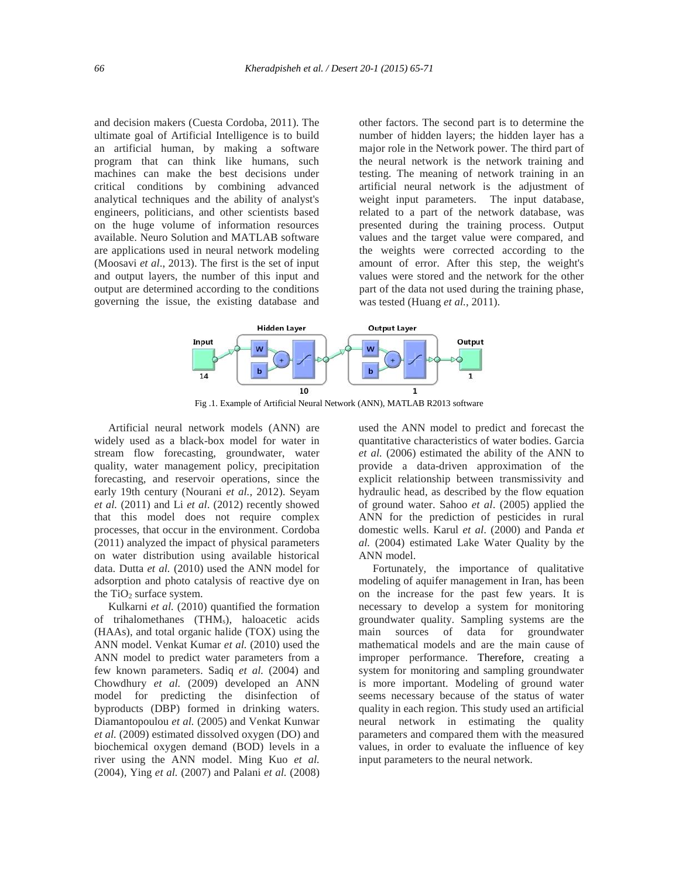and decision makers (Cuesta Cordoba, 2011). The ultimate goal of Artificial Intelligence is to build an artificial human, by making a software program that can think like humans, such machines can make the best decisions under critical conditions by combining advanced analytical techniques and the ability of analyst's engineers, politicians, and other scientists based on the huge volume of information resources available. Neuro Solution and MATLAB software are applications used in neural network modeling (Moosavi *et al*., 2013). The first is the set of input and output layers, the number of this input and output are determined according to the conditions governing the issue, the existing database and other factors. The second part is to determine the number of hidden layers; the hidden layer has a major role in the Network power. The third part of the neural network is the network training and testing. The meaning of network training in an artificial neural network is the adjustment of weight input parameters. The input database, related to a part of the network database, was presented during the training process. Output values and the target value were compared, and the weights were corrected according to the amount of error. After this step, the weight's values were stored and the network for the other part of the data not used during the training phase, was tested (Huang *et al.*, 2011).



Fig .1. Example of Artificial Neural Network (ANN), MATLAB R2013 software

Artificial neural network models (ANN) are widely used as a black-box model for water in stream flow forecasting, groundwater, water quality, water management policy, precipitation forecasting, and reservoir operations, since the early 19th century (Nourani *et al.,* 2012). Seyam *et al.* (2011) and Li *et al*. (2012) recently showed that this model does not require complex processes, that occur in the environment. Cordoba (2011) analyzed the impact of physical parameters on water distribution using available historical data. Dutta *et al.* (2010) used the ANN model for adsorption and photo catalysis of reactive dye on the  $TiO<sub>2</sub>$  surface system.

Kulkarni *et al.* (2010) quantified the formation of trihalomethanes (THMs), haloacetic acids (HAAs), and total organic halide (TOX) using the ANN model. Venkat Kumar *et al.* (2010) used the ANN model to predict water parameters from a few known parameters. Sadiq *et al.* (2004) and Chowdhury *et al.* (2009) developed an ANN model for predicting the disinfection of byproducts (DBP) formed in drinking waters. Diamantopoulou *et al.* (2005) and Venkat Kunwar *et al.* (2009) estimated dissolved oxygen (DO) and biochemical oxygen demand (BOD) levels in a river using the ANN model. Ming Kuo *et al.* (2004), Ying *et al.* (2007) and Palani *et al.* (2008)

used the ANN model to predict and forecast the quantitative characteristics of water bodies. Garcia *et al.* (2006) estimated the ability of the ANN to provide a data-driven approximation of the explicit relationship between transmissivity and hydraulic head, as described by the flow equation of ground water. Sahoo *et al*. (2005) applied the ANN for the prediction of pesticides in rural domestic wells. Karul *et al*. (2000) and Panda *et al.* (2004) estimated Lake Water Quality by the ANN model.

Fortunately, the importance of qualitative modeling of aquifer management in Iran, has been on the increase for the past few years. It is necessary to develop a system for monitoring groundwater quality. Sampling systems are the main sources of data for groundwater mathematical models and are the main cause of improper performance. Therefore, creating a system for monitoring and sampling groundwater is more important. Modeling of ground water seems necessary because of the status of water quality in each region. This study used an artificial neural network in estimating the quality parameters and compared them with the measured values, in order to evaluate the influence of key input parameters to the neural network.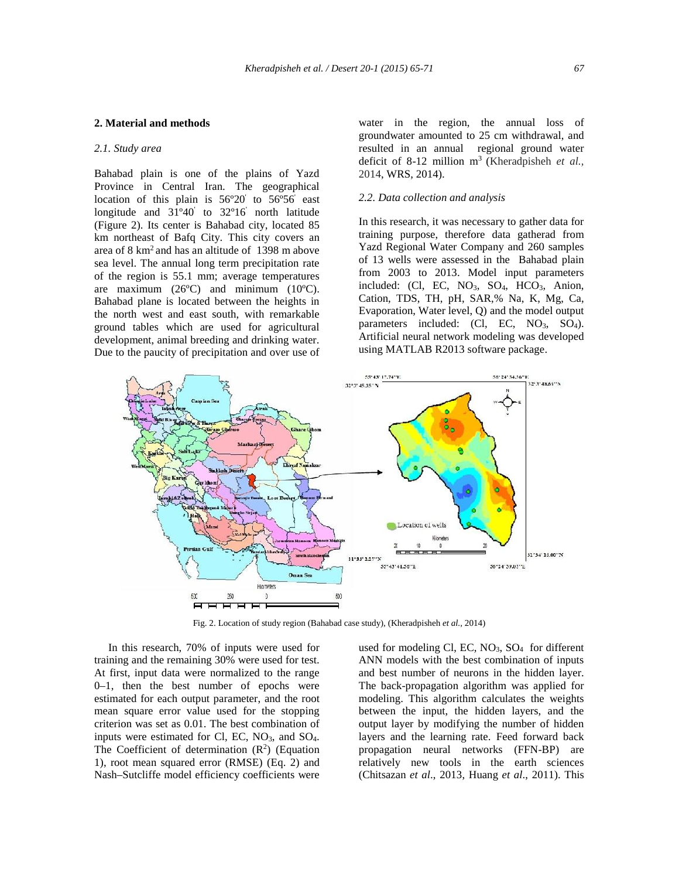## **2. Material and methods**

#### *2.1. Study area*

Bahabad plain is one of the plains of Yazd Province in Central Iran. The geographical location of this plain is 56º20' to 56º56' east longitude and 31º40' to 32º16' north latitude (Figure 2). Its center is Bahabad city, located 85 km northeast of Bafq City. This city covers an area of 8 km<sup>2</sup> and has an altitude of 1398 m above sea level. The annual long term precipitation rate of the region is 55.1 mm; average temperatures are maximum  $(26^{\circ}C)$  and minimum  $(10^{\circ}C)$ . Bahabad plane is located between the heights in the north west and east south, with remarkable ground tables which are used for agricultural development, animal breeding and drinking water. Due to the paucity of precipitation and over use of

water in the region, the annual loss of groundwater amounted to 25 cm withdrawal, and resulted in an annual regional ground water deficit of 8-12 million m<sup>3</sup> (Kheradpisheh *et al.,* 2014, WRS, 2014).

#### *2.2. Data collection and analysis*

In this research, it was necessary to gather data for training purpose, therefore data gatherad from Yazd Regional Water Company and 260 samples of 13 wells were assessed in the Bahabad plain from 2003 to 2013. Model input parameters included: (Cl, EC, NO<sub>3</sub>, SO<sub>4</sub>, HCO<sub>3</sub>, Anion, Cation, TDS, TH, pH, SAR,% Na, K, Mg, Ca, Evaporation, Water level, Q) and the model output parameters included: (Cl, EC, NO<sub>3</sub>, SO<sub>4</sub>). Artificial neural network modeling was developed using MATLAB R2013 software package.



Fig. 2. Location of study region (Bahabad case study), (Kheradpisheh *et al.,* 2014)

In this research, 70% of inputs were used for training and the remaining 30% were used for test. At first, input data were normalized to the range  $0-1$ , then the best number of epochs were estimated for each output parameter, and the root mean square error value used for the stopping criterion was set as 0.01. The best combination of inputs were estimated for Cl, EC,  $NO<sub>3</sub>$ , and  $SO<sub>4</sub>$ . The Coefficient of determination  $(R^2)$  (Equation 1), root mean squared error (RMSE) (Eq. 2) and Nash–Sutcliffe model efficiency coefficients were

used for modeling Cl, EC,  $NO<sub>3</sub>$ ,  $SO<sub>4</sub>$  for different ANN models with the best combination of inputs and best number of neurons in the hidden layer. The back-propagation algorithm was applied for modeling. This algorithm calculates the weights between the input, the hidden layers, and the output layer by modifying the number of hidden layers and the learning rate. Feed forward back propagation neural networks (FFN-BP) are relatively new tools in the earth sciences (Chitsazan *et al*., 2013, Huang *et al*., 2011). This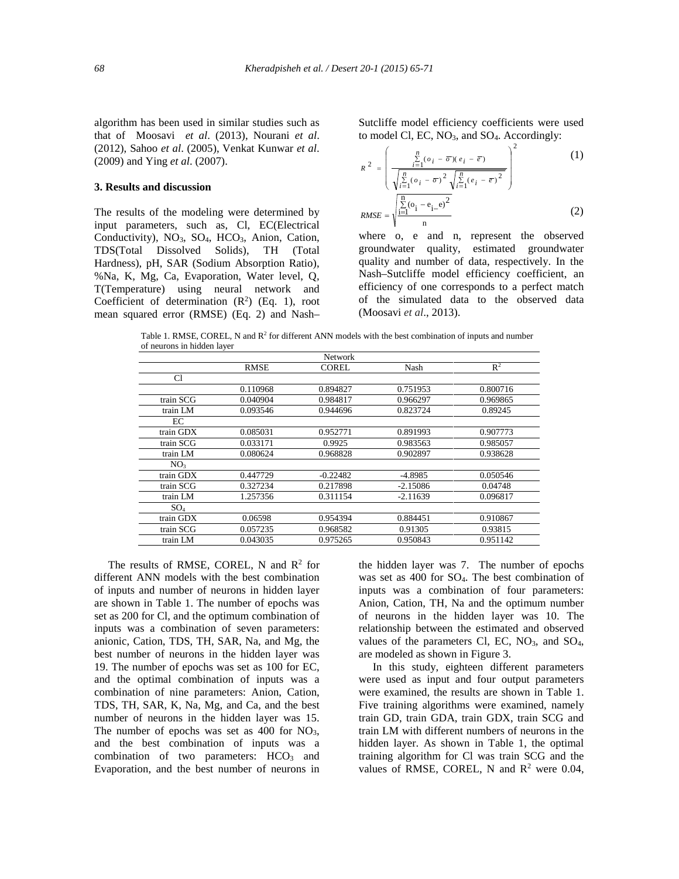algorithm has been used in similar studies such as that of Moosavi *et al*. (2013), Nourani *et al*. (2012), Sahoo *et al*. (2005), Venkat Kunwar *et al*. (2009) and Ying *et al*. (2007).

## **3. Results and discussion**

The results of the modeling were determined by input parameters, such as, Cl, EC(Electrical Conductivity), NO3, SO4, HCO3, Anion, Cation, TDS(Total Dissolved Solids), TH (Total Hardness), pH, SAR (Sodium Absorption Ratio), %Na, K, Mg, Ca, Evaporation, Water level, Q, T(Temperature) using neural network and Coefficient of determination  $(R^2)$  (Eq. 1), root mean squared error (RMSE) (Eq. 2) and Nash– Sutcliffe model efficiency coefficients were used to model Cl, EC, NO<sub>3</sub>, and SO<sub>4</sub>. Accordingly:

$$
R^{2} = \left(\frac{\sum_{i=1}^{n} (o_{i} - \overline{\sigma})(e_{i} - \overline{e})}{\sqrt{\sum_{i=1}^{n} (o_{i} - \overline{\sigma})^{2}} \sqrt{\sum_{i=1}^{n} (e_{i} - \overline{e})^{2}}}\right)^{2}
$$
(1)  

$$
RMSE = \sqrt{\frac{\sum_{i=1}^{n} (o_{i} - e_{i} - e)^{2}}{\sum_{i=1}^{n} (o_{i} - e_{i} - e)^{2}}}
$$
(2)

where o, e and n, represent the observed groundwater quality, estimated groundwater quality and number of data, respectively. In the Nash–Sutcliffe model efficiency coefficient, an efficiency of one corresponds to a perfect match of the simulated data to the observed data (Moosavi *et al*., 2013).

Table 1. RMSE, COREL, N and  $R^2$  for different ANN models with the best combination of inputs and number of neurons in hidden layer

|                 |             | <b>Network</b> |            |                |
|-----------------|-------------|----------------|------------|----------------|
|                 | <b>RMSE</b> | <b>COREL</b>   | Nash       | $\mathbb{R}^2$ |
| C1              |             |                |            |                |
|                 | 0.110968    | 0.894827       | 0.751953   | 0.800716       |
| train SCG       | 0.040904    | 0.984817       | 0.966297   | 0.969865       |
| train LM        | 0.093546    | 0.944696       | 0.823724   | 0.89245        |
| EC              |             |                |            |                |
| train GDX       | 0.085031    | 0.952771       | 0.891993   | 0.907773       |
| train SCG       | 0.033171    | 0.9925         | 0.983563   | 0.985057       |
| train LM        | 0.080624    | 0.968828       | 0.902897   | 0.938628       |
| NO <sub>3</sub> |             |                |            |                |
| train GDX       | 0.447729    | $-0.22482$     | $-4.8985$  | 0.050546       |
| train SCG       | 0.327234    | 0.217898       | $-2.15086$ | 0.04748        |
| train LM        | 1.257356    | 0.311154       | $-2.11639$ | 0.096817       |
| SO <sub>4</sub> |             |                |            |                |
| train GDX       | 0.06598     | 0.954394       | 0.884451   | 0.910867       |
| train SCG       | 0.057235    | 0.968582       | 0.91305    | 0.93815        |
| train LM        | 0.043035    | 0.975265       | 0.950843   | 0.951142       |

The results of RMSE, COREL, N and  $\mathbb{R}^2$  for different ANN models with the best combination of inputs and number of neurons in hidden layer are shown in Table 1. The number of epochs was set as 200 for Cl, and the optimum combination of inputs was a combination of seven parameters: anionic, Cation, TDS, TH, SAR, Na, and Mg, the best number of neurons in the hidden layer was 19. The number of epochs was set as 100 for EC, and the optimal combination of inputs was a combination of nine parameters: Anion, Cation, TDS, TH, SAR, K, Na, Mg, and Ca, and the best number of neurons in the hidden layer was 15. The number of epochs was set as  $400$  for  $NO<sub>3</sub>$ , and the best combination of inputs was a combination of two parameters: HCO<sub>3</sub> and Evaporation, and the best number of neurons in

the hidden layer was 7. The number of epochs was set as 400 for SO4. The best combination of inputs was a combination of four parameters: Anion, Cation, TH, Na and the optimum number of neurons in the hidden layer was 10. The relationship between the estimated and observed values of the parameters Cl, EC,  $NO<sub>3</sub>$ , and  $SO<sub>4</sub>$ , are modeled as shown in Figure 3.

In this study, eighteen different parameters were used as input and four output parameters were examined, the results are shown in Table 1. Five training algorithms were examined, namely train GD, train GDA, train GDX, train SCG and train LM with different numbers of neurons in the hidden layer. As shown in Table 1, the optimal training algorithm for Cl was train SCG and the values of RMSE, COREL, N and  $R^2$  were 0.04,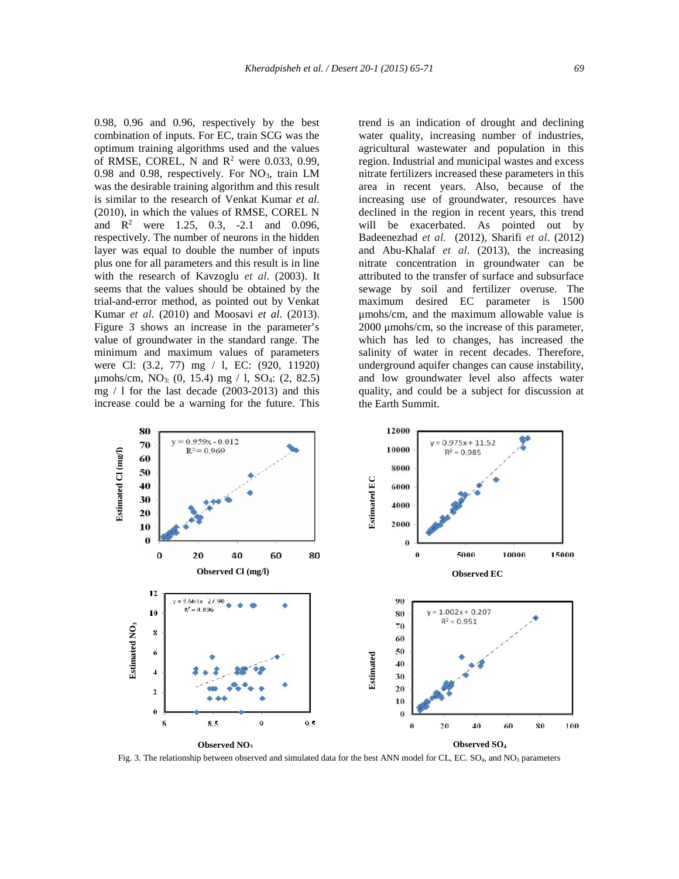0.98, 0.96 and 0.96, respectively by the best combination of inputs. For EC, train SCG was the optimum training algorithms used and the values of RMSE, COREL, N and  $R^2$  were 0.033, 0.99, 0.98 and 0.98, respectively. For NO<sub>3</sub>, train LM was the desirable training algorithm and this result is similar to the research of Venkat Kumar *et al.* (2010), in which the values of RMSE, COREL N and  $R^2$  were 1.25, 0.3, -2.1 and 0.096, respectively. The number of neurons in the hidden layer was equal to double the number of inputs plus one for all parameters and this result is in line with the research of Kavzoglu *et al*. (2003). It seems that the values should be obtained by the trial-and-error method, as pointed out by Venkat Kumar *et al*. (2010) and Moosavi *et al*. (2013). Figure 3 shows an increase in the parameter's value of groundwater in the standard range. The minimum and maximum values of parameters were Cl: (3.2, 77) mg / l, EC: (920, 11920)  $\mu$ mohs/cm, NO<sub>3:</sub> (0, 15.4) mg / 1, SO<sub>4</sub>: (2, 82.5) mg / l for the last decade (2003-2013) and this increase could be a warning for the future. This

trend is an indication of drought and declining water quality, increasing number of industries, agricultural wastewater and population in this region. Industrial and municipal wastes and excess nitrate fertilizers increased these parameters in this area in recent years. Also, because of the increasing use of groundwater, resources have declined in the region in recent years, this trend will be exacerbated. As pointed out by Badeenezhad *et al.* (2012), Sharifi *et al*. (2012) and Abu-Khalaf *et al*. (2013), the increasing nitrate concentration in groundwater can be attributed to the transfer of surface and subsurface sewage by soil and fertilizer overuse. The maximum desired EC parameter is 1500 μmohs/cm, and the maximum allowable value is 2000 μmohs/cm, so the increase of this parameter, which has led to changes, has increased the salinity of water in recent decades. Therefore, underground aquifer changes can cause instability, and low groundwater level also affects water quality, and could be a subject for discussion at the Earth Summit.



Fig. 3. The relationship between observed and simulated data for the best ANN model for CL, EC. SO<sub>4</sub>, and NO<sub>3</sub> parameters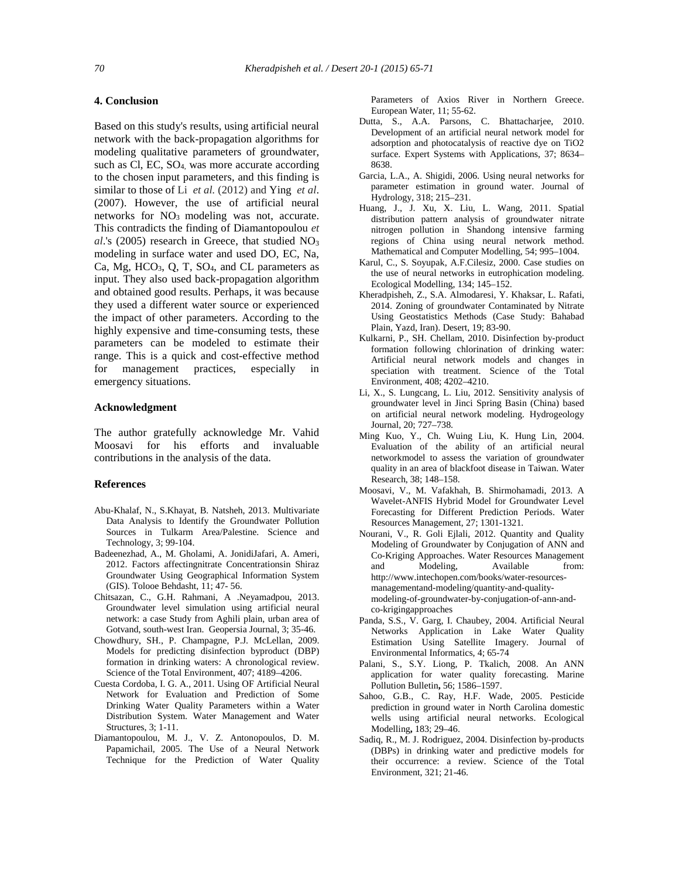## **4. Conclusion**

Based on this study's results, using artificial neural network with the back-propagation algorithms for modeling qualitative parameters of groundwater, such as Cl, EC, SO<sub>4</sub>, was more accurate according to the chosen input parameters, and this finding is similar to those of Li *et al.* (2012) and Ying *et al*. (2007). However, the use of artificial neural networks for NO<sub>3</sub> modeling was not, accurate. This contradicts the finding of Diamantopoulou *et*  $al.'s$  (2005) research in Greece, that studied  $NO<sub>3</sub>$ modeling in surface water and used DO, EC, Na, Ca, Mg, HCO<sub>3</sub>, Q, T, SO<sub>4</sub>, and CL parameters as input. They also used back-propagation algorithm and obtained good results. Perhaps, it was because they used a different water source or experienced the impact of other parameters. According to the highly expensive and time-consuming tests, these parameters can be modeled to estimate their range. This is a quick and cost-effective method for management practices, especially in emergency situations.

## **Acknowledgment**

The author gratefully acknowledge Mr. Vahid Moosavi for his efforts and invaluable contributions in the analysis of the data.

## **References**

- Abu-Khalaf, N., S.Khayat, B. Natsheh, 2013. Multivariate Data Analysis to Identify the Groundwater Pollution Sources in Tulkarm Area/Palestine. Science and Technology, 3; 99-104.
- Badeenezhad, A., M. Gholami, A. JonidiJafari, A. Ameri, 2012. Factors affectingnitrate Concentrationsin Shiraz Groundwater Using Geographical Information System (GIS). Tolooe Behdasht, 11; 47- 56.
- Chitsazan, C., G.H. Rahmani, A .Neyamadpou, 2013. Groundwater level simulation using artificial neural network: a case Study from Aghili plain, urban area of Gotvand, south-west Iran. Geopersia Journal, 3; 35-46.
- Chowdhury, SH., P. Champagne, P.J. McLellan, 2009. Models for predicting disinfection byproduct (DBP) formation in drinking waters: A chronological review. Science of the Total Environment, 407; 4189–4206.
- Cuesta Cordoba, I. G. A., 2011. Using OF Artificial Neural Network for Evaluation and Prediction of Some Drinking Water Quality Parameters within a Water Distribution System. Water Management and Water Structures, 3; 1-11.
- Diamantopoulou, M. J., V. Z. Antonopoulos, D. M. Papamichail, 2005. The Use of a Neural Network Technique for the Prediction of Water Quality

Parameters of Axios River in Northern Greece. European Water, 11; 55-62.

- Dutta, S., A.A. Parsons, C. Bhattacharjee, 2010. Development of an artificial neural network model for adsorption and photocatalysis of reactive dye on TiO2 surface. Expert Systems with Applications, 37; 8634– 8638.
- Garcia, L.A., A. Shigidi, 2006. Using neural networks for parameter estimation in ground water. Journal of Hydrology, 318; 215–231.
- Huang, J., J. Xu, X. Liu, L. Wang, 2011. Spatial distribution pattern analysis of groundwater nitrate nitrogen pollution in Shandong intensive farming regions of China using neural network method. Mathematical and Computer Modelling, 54; 995–1004.
- Karul, C., S. Soyupak, A.F.Cilesiz, 2000. Case studies on the use of neural networks in eutrophication modeling. Ecological Modelling, 134; 145–152.
- Kheradpisheh, Z., S.A. Almodaresi, Y. Khaksar, L. Rafati, 2014. Zoning of groundwater Contaminated by Nitrate Using Geostatistics Methods (Case Study: Bahabad Plain, Yazd, Iran). Desert, 19; 83-90.
- Kulkarni, P., SH. Chellam, 2010. Disinfection by-product formation following chlorination of drinking water: Artificial neural network models and changes in speciation with treatment. Science of the Total Environment, 408; 4202–4210.
- Li, X., S. Lungcang, L. Liu, 2012. Sensitivity analysis of groundwater level in Jinci Spring Basin (China) based on artificial neural network modeling. Hydrogeology Journal, 20; 727–738.
- Ming Kuo, Y., Ch. Wuing Liu, K. Hung Lin, 2004. Evaluation of the ability of an artificial neural networkmodel to assess the variation of groundwater quality in an area of blackfoot disease in Taiwan. Water Research, 38; 148–158.
- Moosavi, V., M. Vafakhah, B. Shirmohamadi, 2013. A Wavelet-ANFIS Hybrid Model for Groundwater Level Forecasting for Different Prediction Periods. Water Resources Management, 27; 1301-1321.
- Nourani, V., R. Goli Ejlali, 2012. Quantity and Quality Modeling of Groundwater by Conjugation of ANN and Co-Kriging Approaches. Water Resources Management and Modeling, Available from: http://www.intechopen.com/books/water-resources managementand-modeling/quantity-and-quality modeling-of-groundwater-by-conjugation-of-ann-and co-krigingapproaches
- Panda, S.S., V. Garg, I. Chaubey, 2004. Artificial Neural Networks Application in Lake Water Quality Estimation Using Satellite Imagery. Journal of Environmental Informatics, 4; 65-74
- Palani, S., S.Y. Liong, P. Tkalich, 2008. An ANN application for water quality forecasting. Marine Pollution Bulletin**,** 56; 1586–1597.
- Sahoo, G.B., C. Ray, H.F. Wade, 2005. Pesticide prediction in ground water in North Carolina domestic wells using artificial neural networks. Ecological Modelling**,** 183; 29–46.
- Sadiq, R., M. J. Rodriguez, 2004. Disinfection by-products (DBPs) in drinking water and predictive models for their occurrence: a review. Science of the Total Environment, 321; 21-46.